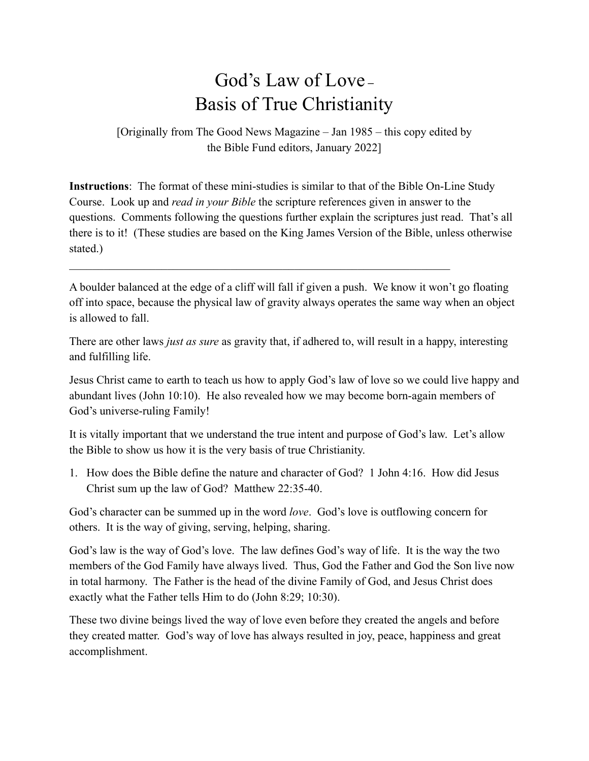## God's Law of Love **–** Basis of True Christianity

[Originally from The Good News Magazine – Jan 1985 – this copy edited by the Bible Fund editors, January 2022]

**Instructions**: The format of these mini-studies is similar to that of the Bible On-Line Study Course. Look up and *read in your Bible* the scripture references given in answer to the questions. Comments following the questions further explain the scriptures just read. That's all there is to it! (These studies are based on the King James Version of the Bible, unless otherwise stated.)

A boulder balanced at the edge of a cliff will fall if given a push. We know it won't go floating off into space, because the physical law of gravity always operates the same way when an object is allowed to fall.

 $\mathcal{L}_\mathcal{L} = \mathcal{L}_\mathcal{L} = \mathcal{L}_\mathcal{L} = \mathcal{L}_\mathcal{L} = \mathcal{L}_\mathcal{L} = \mathcal{L}_\mathcal{L} = \mathcal{L}_\mathcal{L} = \mathcal{L}_\mathcal{L} = \mathcal{L}_\mathcal{L} = \mathcal{L}_\mathcal{L} = \mathcal{L}_\mathcal{L} = \mathcal{L}_\mathcal{L} = \mathcal{L}_\mathcal{L} = \mathcal{L}_\mathcal{L} = \mathcal{L}_\mathcal{L} = \mathcal{L}_\mathcal{L} = \mathcal{L}_\mathcal{L}$ 

There are other laws *just as sure* as gravity that, if adhered to, will result in a happy, interesting and fulfilling life.

Jesus Christ came to earth to teach us how to apply God's law of love so we could live happy and abundant lives (John 10:10). He also revealed how we may become born-again members of God's universe-ruling Family!

It is vitally important that we understand the true intent and purpose of God's law. Let's allow the Bible to show us how it is the very basis of true Christianity.

1. How does the Bible define the nature and character of God? 1 John 4:16. How did Jesus Christ sum up the law of God? Matthew 22:35-40.

God's character can be summed up in the word *love*. God's love is outflowing concern for others. It is the way of giving, serving, helping, sharing.

God's law is the way of God's love. The law defines God's way of life. It is the way the two members of the God Family have always lived. Thus, God the Father and God the Son live now in total harmony. The Father is the head of the divine Family of God, and Jesus Christ does exactly what the Father tells Him to do (John 8:29; 10:30).

These two divine beings lived the way of love even before they created the angels and before they created matter. God's way of love has always resulted in joy, peace, happiness and great accomplishment.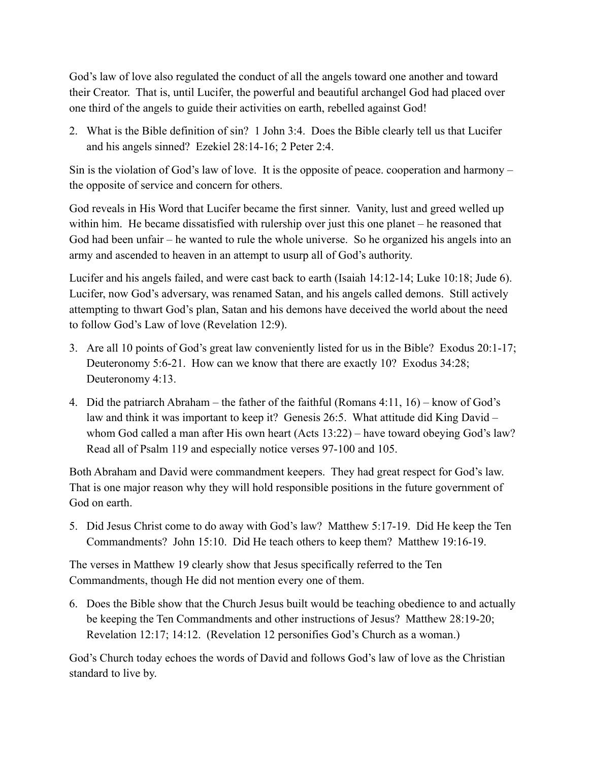God's law of love also regulated the conduct of all the angels toward one another and toward their Creator. That is, until Lucifer, the powerful and beautiful archangel God had placed over one third of the angels to guide their activities on earth, rebelled against God!

2. What is the Bible definition of sin? 1 John 3:4. Does the Bible clearly tell us that Lucifer and his angels sinned? Ezekiel 28:14-16; 2 Peter 2:4.

Sin is the violation of God's law of love. It is the opposite of peace. cooperation and harmony – the opposite of service and concern for others.

God reveals in His Word that Lucifer became the first sinner. Vanity, lust and greed welled up within him. He became dissatisfied with rulership over just this one planet – he reasoned that God had been unfair – he wanted to rule the whole universe. So he organized his angels into an army and ascended to heaven in an attempt to usurp all of God's authority.

Lucifer and his angels failed, and were cast back to earth (Isaiah 14:12-14; Luke 10:18; Jude 6). Lucifer, now God's adversary, was renamed Satan, and his angels called demons. Still actively attempting to thwart God's plan, Satan and his demons have deceived the world about the need to follow God's Law of love (Revelation 12:9).

- 3. Are all 10 points of God's great law conveniently listed for us in the Bible? Exodus 20:1-17; Deuteronomy 5:6-21. How can we know that there are exactly 10? Exodus 34:28; Deuteronomy 4:13.
- 4. Did the patriarch Abraham the father of the faithful (Romans 4:11, 16) know of God's law and think it was important to keep it? Genesis 26:5. What attitude did King David – whom God called a man after His own heart (Acts 13:22) – have toward obeying God's law? Read all of Psalm 119 and especially notice verses 97-100 and 105.

Both Abraham and David were commandment keepers. They had great respect for God's law. That is one major reason why they will hold responsible positions in the future government of God on earth.

5. Did Jesus Christ come to do away with God's law? Matthew 5:17-19. Did He keep the Ten Commandments? John 15:10. Did He teach others to keep them? Matthew 19:16-19.

The verses in Matthew 19 clearly show that Jesus specifically referred to the Ten Commandments, though He did not mention every one of them.

6. Does the Bible show that the Church Jesus built would be teaching obedience to and actually be keeping the Ten Commandments and other instructions of Jesus? Matthew 28:19-20; Revelation 12:17; 14:12. (Revelation 12 personifies God's Church as a woman.)

God's Church today echoes the words of David and follows God's law of love as the Christian standard to live by.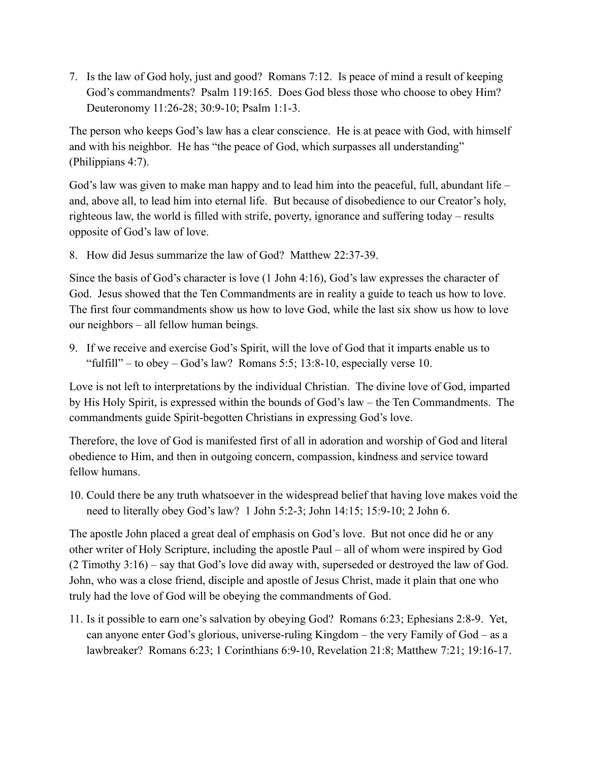7. Is the law of God holy, just and good? Romans 7:12. Is peace of mind a result of keeping God's commandments? Psalm 119:165. Does God bless those who choose to obey Him? Deuteronomy 11:26-28; 30:9-10; Psalm 1:1-3.

The person who keeps God's law has a clear conscience. He is at peace with God, with himself and with his neighbor. He has "the peace of God, which surpasses all understanding" (Philippians 4:7).

God's law was given to make man happy and to lead him into the peaceful, full, abundant life – and, above all, to lead him into eternal life. But because of disobedience to our Creator's holy, righteous law, the world is filled with strife, poverty, ignorance and suffering today – results opposite of God's law of love.

8. How did Jesus summarize the law of God? Matthew 22:37-39.

Since the basis of God's character is love (1 John 4:16), God's law expresses the character of God. Jesus showed that the Ten Commandments are in reality a guide to teach us how to love. The first four commandments show us how to love God, while the last six show us how to love our neighbors – all fellow human beings.

9. If we receive and exercise God's Spirit, will the love of God that it imparts enable us to "fulfill" – to obey – God's law? Romans 5:5; 13:8-10, especially verse 10.

Love is not left to interpretations by the individual Christian. The divine love of God, imparted by His Holy Spirit, is expressed within the bounds of God's law – the Ten Commandments. The commandments guide Spirit-begotten Christians in expressing God's love.

Therefore, the love of God is manifested first of all in adoration and worship of God and literal obedience to Him, and then in outgoing concern, compassion, kindness and service toward fellow humans.

10. Could there be any truth whatsoever in the widespread belief that having love makes void the need to literally obey God's law? 1 John 5:2-3; John 14:15; 15:9-10; 2 John 6.

The apostle John placed a great deal of emphasis on God's love. But not once did he or any other writer of Holy Scripture, including the apostle Paul – all of whom were inspired by God (2 Timothy 3:16) – say that God's love did away with, superseded or destroyed the law of God. John, who was a close friend, disciple and apostle of Jesus Christ, made it plain that one who truly had the love of God will be obeying the commandments of God.

11. Is it possible to earn one's salvation by obeying God? Romans 6:23; Ephesians 2:8-9. Yet, can anyone enter God's glorious, universe-ruling Kingdom – the very Family of God – as a lawbreaker? Romans 6:23; 1 Corinthians 6:9-10, Revelation 21:8; Matthew 7:21; 19:16-17.